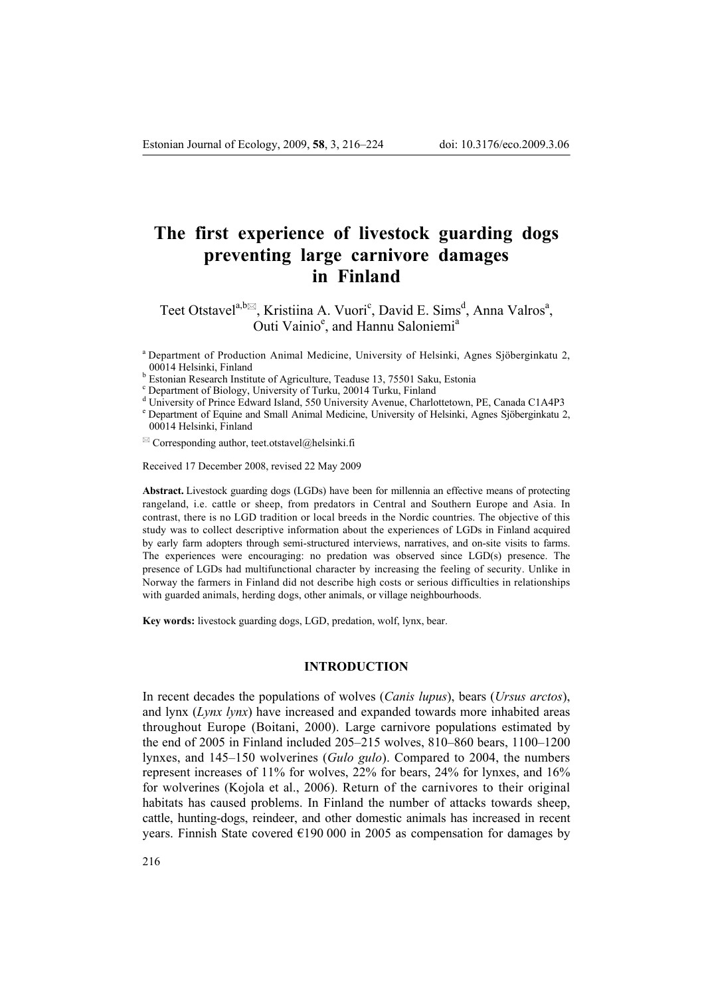# **The first experience of livestock guarding dogs preventing large carnivore damages in Finland**

Teet Otstavel<sup>a,b⊠</sup>, Kristiina A. Vuori<sup>c</sup>, David E. Sims<sup>d</sup>, Anna Valros<sup>a</sup>, Outi Vainio<sup>e</sup>, and Hannu Saloniemi<sup>a</sup>

<sup>a</sup> Department of Production Animal Medicine, University of Helsinki, Agnes Sjöberginkatu 2, 00014 Helsinki, Finland

 $h<sup>b</sup>$  Estonian Research Institute of Agriculture, Teaduse 13, 75501 Saku, Estonia

 $\textdegree$  Department of Biology, University of Turku, 20014 Turku, Finland

<sup>d</sup> University of Prince Edward Island, 550 University Avenue, Charlottetown, PE, Canada C1A4P3 e Department of Equine and Small Animal Medicine, University of Helsinki, Agnes Sjöberginkatu 2, 00014 Helsinki, Finland

 $\boxtimes$  Corresponding author, teet.otstavel@helsinki.fi

Received 17 December 2008, revised 22 May 2009

**Abstract.** Livestock guarding dogs (LGDs) have been for millennia an effective means of protecting rangeland, i.e. cattle or sheep, from predators in Central and Southern Europe and Asia. In contrast, there is no LGD tradition or local breeds in the Nordic countries. The objective of this study was to collect descriptive information about the experiences of LGDs in Finland acquired by early farm adopters through semi-structured interviews, narratives, and on-site visits to farms. The experiences were encouraging: no predation was observed since LGD(s) presence. The presence of LGDs had multifunctional character by increasing the feeling of security. Unlike in Norway the farmers in Finland did not describe high costs or serious difficulties in relationships with guarded animals, herding dogs, other animals, or village neighbourhoods.

**Key words:** livestock guarding dogs, LGD, predation, wolf, lynx, bear.

# **INTRODUCTION**

In recent decades the populations of wolves (*Canis lupus*), bears (*Ursus arctos*), and lynx (*Lynx lynx*) have increased and expanded towards more inhabited areas throughout Europe (Boitani, 2000). Large carnivore populations estimated by the end of 2005 in Finland included  $205-215$  wolves, 810–860 bears, 1100–1200 lynxes, and 145-150 wolverines (*Gulo gulo*). Compared to 2004, the numbers represent increases of 11% for wolves, 22% for bears, 24% for lynxes, and 16% for wolverines (Kojola et al., 2006). Return of the carnivores to their original habitats has caused problems. In Finland the number of attacks towards sheep, cattle, hunting-dogs, reindeer, and other domestic animals has increased in recent years. Finnish State covered  $£190,000$  in 2005 as compensation for damages by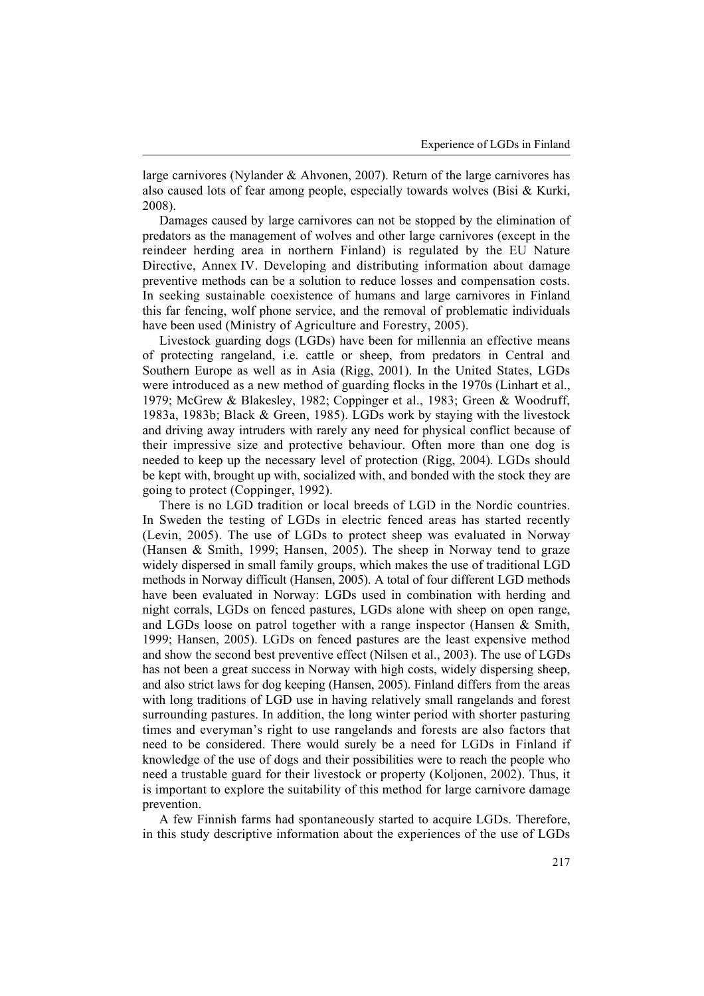large carnivores (Nylander & Ahvonen, 2007). Return of the large carnivores has also caused lots of fear among people, especially towards wolves (Bisi & Kurki, 2008).

Damages caused by large carnivores can not be stopped by the elimination of predators as the management of wolves and other large carnivores (except in the reindeer herding area in northern Finland) is regulated by the EU Nature Directive, Annex IV. Developing and distributing information about damage preventive methods can be a solution to reduce losses and compensation costs. In seeking sustainable coexistence of humans and large carnivores in Finland this far fencing, wolf phone service, and the removal of problematic individuals have been used (Ministry of Agriculture and Forestry, 2005).

Livestock guarding dogs (LGDs) have been for millennia an effective means of protecting rangeland, i.e. cattle or sheep, from predators in Central and Southern Europe as well as in Asia (Rigg, 2001). In the United States, LGDs were introduced as a new method of guarding flocks in the 1970s (Linhart et al., 1979; McGrew & Blakesley, 1982; Coppinger et al., 1983; Green & Woodruff, 1983a, 1983b; Black & Green, 1985). LGDs work by staying with the livestock and driving away intruders with rarely any need for physical conflict because of their impressive size and protective behaviour. Often more than one dog is needed to keep up the necessary level of protection (Rigg, 2004). LGDs should be kept with, brought up with, socialized with, and bonded with the stock they are going to protect (Coppinger, 1992).

There is no LGD tradition or local breeds of LGD in the Nordic countries. In Sweden the testing of LGDs in electric fenced areas has started recently (Levin, 2005). The use of LGDs to protect sheep was evaluated in Norway (Hansen & Smith, 1999; Hansen, 2005). The sheep in Norway tend to graze widely dispersed in small family groups, which makes the use of traditional LGD methods in Norway difficult (Hansen, 2005). A total of four different LGD methods have been evaluated in Norway: LGDs used in combination with herding and night corrals, LGDs on fenced pastures, LGDs alone with sheep on open range, and LGDs loose on patrol together with a range inspector (Hansen & Smith, 1999; Hansen, 2005). LGDs on fenced pastures are the least expensive method and show the second best preventive effect (Nilsen et al., 2003). The use of LGDs has not been a great success in Norway with high costs, widely dispersing sheep, and also strict laws for dog keeping (Hansen, 2005). Finland differs from the areas with long traditions of LGD use in having relatively small rangelands and forest surrounding pastures. In addition, the long winter period with shorter pasturing times and everyman's right to use rangelands and forests are also factors that need to be considered. There would surely be a need for LGDs in Finland if knowledge of the use of dogs and their possibilities were to reach the people who need a trustable guard for their livestock or property (Koljonen, 2002). Thus, it is important to explore the suitability of this method for large carnivore damage prevention.

A few Finnish farms had spontaneously started to acquire LGDs. Therefore, in this study descriptive information about the experiences of the use of LGDs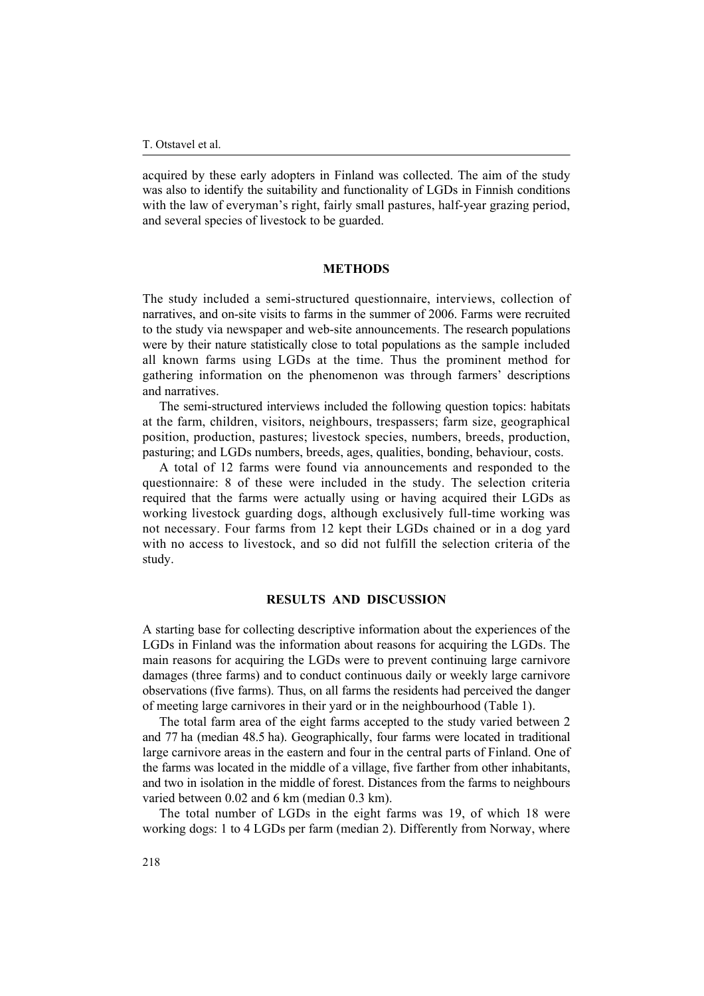acquired by these early adopters in Finland was collected. The aim of the study was also to identify the suitability and functionality of LGDs in Finnish conditions with the law of everyman's right, fairly small pastures, half-year grazing period, and several species of livestock to be guarded.

## **METHODS**

The study included a semi-structured questionnaire, interviews, collection of narratives, and on-site visits to farms in the summer of 2006. Farms were recruited to the study via newspaper and web-site announcements. The research populations were by their nature statistically close to total populations as the sample included all known farms using LGDs at the time. Thus the prominent method for gathering information on the phenomenon was through farmers' descriptions and narratives.

The semi-structured interviews included the following question topics: habitats at the farm, children, visitors, neighbours, trespassers; farm size, geographical position, production, pastures; livestock species, numbers, breeds, production, pasturing; and LGDs numbers, breeds, ages, qualities, bonding, behaviour, costs.

A total of 12 farms were found via announcements and responded to the questionnaire: 8 of these were included in the study. The selection criteria required that the farms were actually using or having acquired their LGDs as working livestock guarding dogs, although exclusively full-time working was not necessary. Four farms from 12 kept their LGDs chained or in a dog yard with no access to livestock, and so did not fulfill the selection criteria of the study.

### **RESULTS AND DISCUSSION**

A starting base for collecting descriptive information about the experiences of the LGDs in Finland was the information about reasons for acquiring the LGDs. The main reasons for acquiring the LGDs were to prevent continuing large carnivore damages (three farms) and to conduct continuous daily or weekly large carnivore observations (five farms). Thus, on all farms the residents had perceived the danger of meeting large carnivores in their yard or in the neighbourhood (Table 1).

The total farm area of the eight farms accepted to the study varied between 2 and 77 ha (median 48.5 ha). Geographically, four farms were located in traditional large carnivore areas in the eastern and four in the central parts of Finland. One of the farms was located in the middle of a village, five farther from other inhabitants, and two in isolation in the middle of forest. Distances from the farms to neighbours varied between 0.02 and 6 km (median 0.3 km).

The total number of LGDs in the eight farms was 19, of which 18 were working dogs: 1 to 4 LGDs per farm (median 2). Differently from Norway, where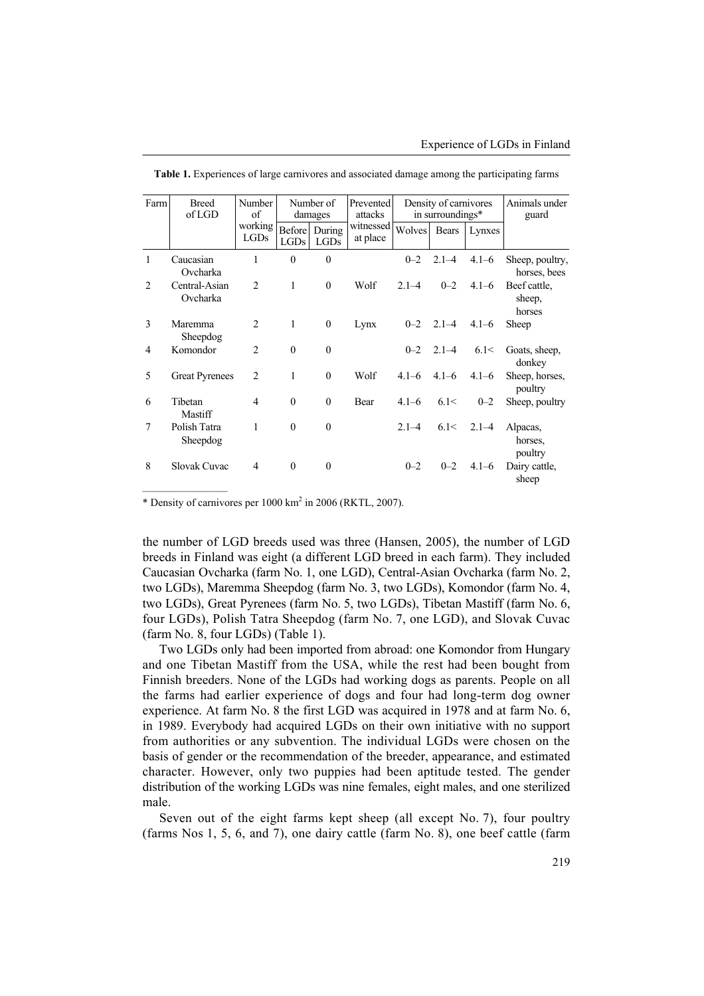| Farm           | <b>Breed</b><br>of LGD    | Number<br>of<br>working<br>LGDs | Number of<br>damages |                | Prevented<br>attacks  | Density of carnivores<br>in surroundings* |           |           | Animals under<br>guard           |
|----------------|---------------------------|---------------------------------|----------------------|----------------|-----------------------|-------------------------------------------|-----------|-----------|----------------------------------|
|                |                           |                                 | Before<br>LGDs       | During<br>LGDs | witnessed<br>at place | Wolves <sup>1</sup>                       | Bears     | Lynxes    |                                  |
| $\mathbf{1}$   | Caucasian<br>Ovcharka     | 1                               | $\theta$             | $\mathbf{0}$   |                       | $0 - 2$                                   | $2.1 - 4$ | $4.1 - 6$ | Sheep, poultry,<br>horses, bees  |
| $\overline{c}$ | Central-Asian<br>Ovcharka | $\overline{2}$                  | 1                    | $\mathbf{0}$   | Wolf                  | $2.1 - 4$                                 | $0 - 2$   | $4.1 - 6$ | Beef cattle.<br>sheep,<br>horses |
| $\mathcal{E}$  | Maremma<br>Sheepdog       | $\overline{2}$                  | 1                    | $\mathbf{0}$   | Lynx                  | $0 - 2$                                   | $2.1 - 4$ | $4.1 - 6$ | Sheep                            |
| $\overline{4}$ | Komondor                  | $\overline{2}$                  | $\theta$             | $\mathbf{0}$   |                       | $0 - 2$                                   | $2.1 - 4$ | 6.1<      | Goats, sheep,<br>donkey          |
| 5              | <b>Great Pyrenees</b>     | $\overline{2}$                  | 1                    | $\mathbf{0}$   | Wolf                  | $4.1 - 6$                                 | $4.1 - 6$ | $4.1 - 6$ | Sheep, horses,<br>poultry        |
| 6              | Tibetan<br>Mastiff        | 4                               | $\theta$             | $\mathbf{0}$   | Bear                  | $4.1 - 6$                                 | 6.1<      | $0 - 2$   | Sheep, poultry                   |
| 7              | Polish Tatra<br>Sheepdog  | 1                               | $\theta$             | $\mathbf{0}$   |                       | $2.1 - 4$                                 | 6.1<      | $2.1 - 4$ | Alpacas,<br>horses,<br>poultry   |
| 8              | <b>Slovak Cuvac</b>       | 4                               | $\theta$             | $\theta$       |                       | $0 - 2$                                   | $0 - 2$   | $4.1 - 6$ | Dairy cattle,<br>sheep           |

**Table 1.** Experiences of large carnivores and associated damage among the participating farms

\* Density of carnivores per 1000 km2 in 2006 (RKTL, 2007).

<u>óóóóóóóóóóóóóóóóó</u>

the number of LGD breeds used was three (Hansen, 2005), the number of LGD breeds in Finland was eight (a different LGD breed in each farm). They included Caucasian Ovcharka (farm No. 1, one LGD), Central-Asian Ovcharka (farm No. 2, two LGDs), Maremma Sheepdog (farm No. 3, two LGDs), Komondor (farm No. 4, two LGDs), Great Pyrenees (farm No. 5, two LGDs), Tibetan Mastiff (farm No. 6, four LGDs), Polish Tatra Sheepdog (farm No. 7, one LGD), and Slovak Cuvac (farm No. 8, four LGDs) (Table 1).

Two LGDs only had been imported from abroad: one Komondor from Hungary and one Tibetan Mastiff from the USA, while the rest had been bought from Finnish breeders. None of the LGDs had working dogs as parents. People on all the farms had earlier experience of dogs and four had long-term dog owner experience. At farm No. 8 the first LGD was acquired in 1978 and at farm No. 6, in 1989. Everybody had acquired LGDs on their own initiative with no support from authorities or any subvention. The individual LGDs were chosen on the basis of gender or the recommendation of the breeder, appearance, and estimated character. However, only two puppies had been aptitude tested. The gender distribution of the working LGDs was nine females, eight males, and one sterilized male.

Seven out of the eight farms kept sheep (all except No. 7), four poultry (farms Nos 1, 5, 6, and 7), one dairy cattle (farm No. 8), one beef cattle (farm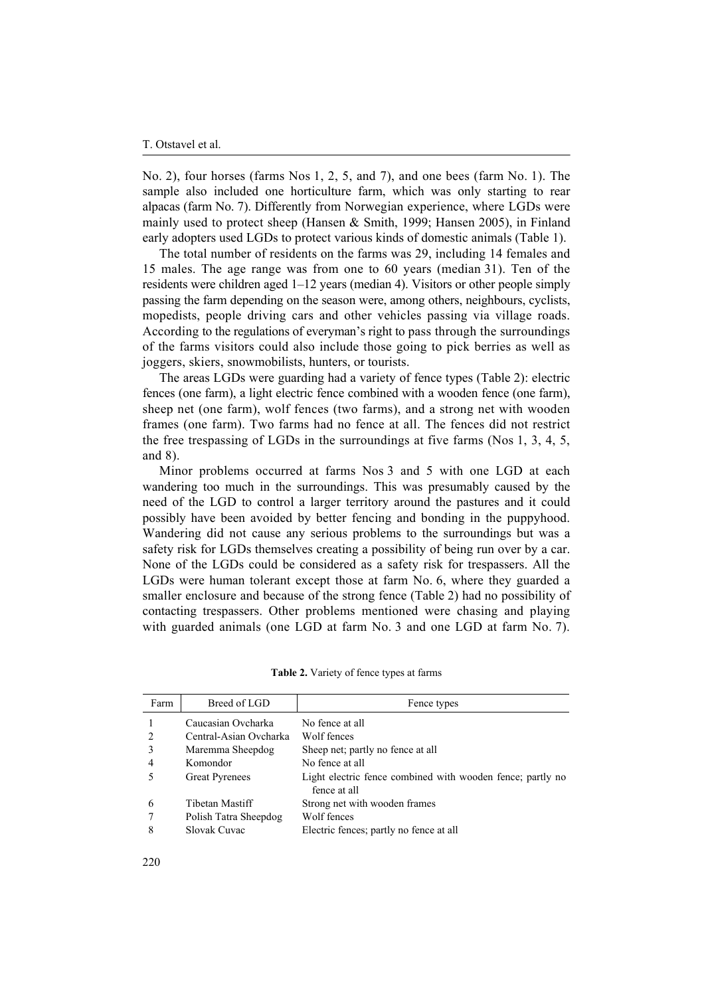No. 2), four horses (farms Nos 1, 2, 5, and 7), and one bees (farm No. 1). The sample also included one horticulture farm, which was only starting to rear alpacas (farm No. 7). Differently from Norwegian experience, where LGDs were mainly used to protect sheep (Hansen  $\&$  Smith, 1999; Hansen 2005), in Finland early adopters used LGDs to protect various kinds of domestic animals (Table 1).

The total number of residents on the farms was 29, including 14 females and 15 males. The age range was from one to 60 years (median 31). Ten of the residents were children aged  $1-12$  years (median 4). Visitors or other people simply passing the farm depending on the season were, among others, neighbours, cyclists, mopedists, people driving cars and other vehicles passing via village roads. According to the regulations of everyman's right to pass through the surroundings of the farms visitors could also include those going to pick berries as well as joggers, skiers, snowmobilists, hunters, or tourists.

The areas LGDs were guarding had a variety of fence types (Table 2): electric fences (one farm), a light electric fence combined with a wooden fence (one farm), sheep net (one farm), wolf fences (two farms), and a strong net with wooden frames (one farm). Two farms had no fence at all. The fences did not restrict the free trespassing of LGDs in the surroundings at five farms (Nos 1, 3, 4, 5, and 8).

Minor problems occurred at farms Nos 3 and 5 with one LGD at each wandering too much in the surroundings. This was presumably caused by the need of the LGD to control a larger territory around the pastures and it could possibly have been avoided by better fencing and bonding in the puppyhood. Wandering did not cause any serious problems to the surroundings but was a safety risk for LGDs themselves creating a possibility of being run over by a car. None of the LGDs could be considered as a safety risk for trespassers. All the LGDs were human tolerant except those at farm No. 6, where they guarded a smaller enclosure and because of the strong fence (Table 2) had no possibility of contacting trespassers. Other problems mentioned were chasing and playing with guarded animals (one LGD at farm No. 3 and one LGD at farm No. 7).

| Farm           | Breed of LGD           | Fence types                                                                |
|----------------|------------------------|----------------------------------------------------------------------------|
|                | Caucasian Ovcharka     | No fence at all                                                            |
| $\mathfrak{D}$ | Central-Asian Ovcharka | Wolf fences                                                                |
| 3              | Maremma Sheepdog       | Sheep net; partly no fence at all                                          |
| 4              | Komondor               | No fence at all                                                            |
| 5              | <b>Great Pyrenees</b>  | Light electric fence combined with wooden fence; partly no<br>fence at all |
| 6              | Tibetan Mastiff        | Strong net with wooden frames                                              |
| 7              | Polish Tatra Sheepdog  | Wolf fences                                                                |
| 8              | Slovak Cuvac           | Electric fences; partly no fence at all                                    |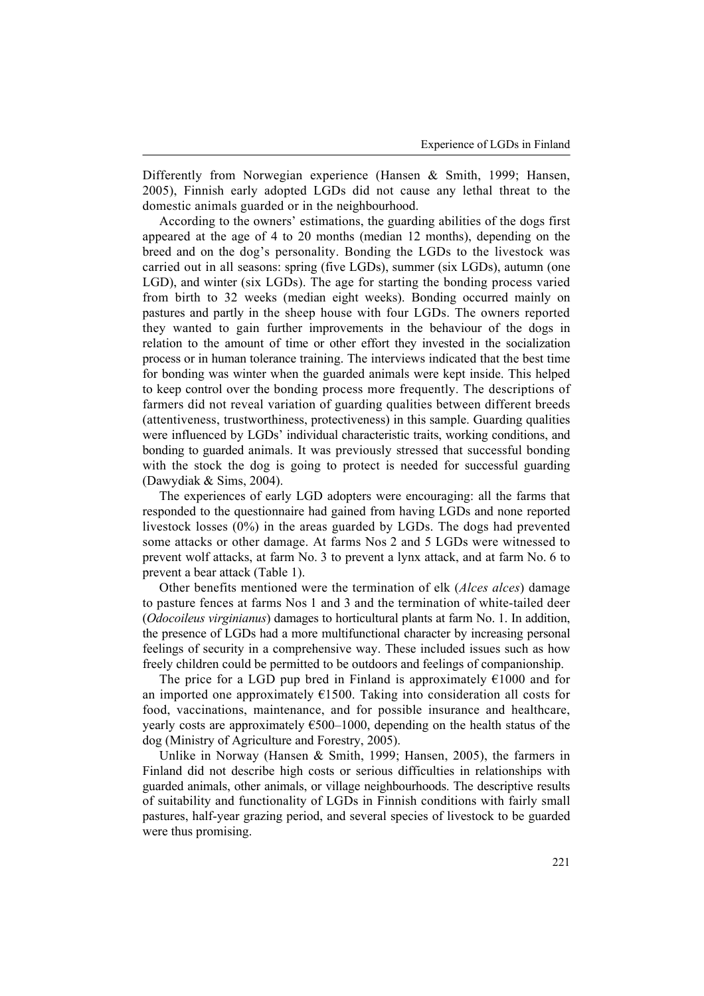Differently from Norwegian experience (Hansen & Smith, 1999; Hansen, 2005), Finnish early adopted LGDs did not cause any lethal threat to the domestic animals guarded or in the neighbourhood.

According to the owners' estimations, the guarding abilities of the dogs first appeared at the age of 4 to 20 months (median 12 months), depending on the breed and on the dog's personality. Bonding the LGDs to the livestock was carried out in all seasons: spring (five LGDs), summer (six LGDs), autumn (one LGD), and winter (six LGDs). The age for starting the bonding process varied from birth to 32 weeks (median eight weeks). Bonding occurred mainly on pastures and partly in the sheep house with four LGDs. The owners reported they wanted to gain further improvements in the behaviour of the dogs in relation to the amount of time or other effort they invested in the socialization process or in human tolerance training. The interviews indicated that the best time for bonding was winter when the guarded animals were kept inside. This helped to keep control over the bonding process more frequently. The descriptions of farmers did not reveal variation of guarding qualities between different breeds (attentiveness, trustworthiness, protectiveness) in this sample. Guarding qualities were influenced by LGDs' individual characteristic traits, working conditions, and bonding to guarded animals. It was previously stressed that successful bonding with the stock the dog is going to protect is needed for successful guarding (Dawydiak & Sims, 2004).

The experiences of early LGD adopters were encouraging: all the farms that responded to the questionnaire had gained from having LGDs and none reported livestock losses (0%) in the areas guarded by LGDs. The dogs had prevented some attacks or other damage. At farms Nos 2 and 5 LGDs were witnessed to prevent wolf attacks, at farm No. 3 to prevent a lynx attack, and at farm No. 6 to prevent a bear attack (Table 1).

Other benefits mentioned were the termination of elk (*Alces alces*) damage to pasture fences at farms Nos 1 and 3 and the termination of white-tailed deer (*Odocoileus virginianus*) damages to horticultural plants at farm No. 1. In addition, the presence of LGDs had a more multifunctional character by increasing personal feelings of security in a comprehensive way. These included issues such as how freely children could be permitted to be outdoors and feelings of companionship.

The price for a LGD pup bred in Finland is approximately  $\epsilon$ 1000 and for an imported one approximately  $E1500$ . Taking into consideration all costs for food, vaccinations, maintenance, and for possible insurance and healthcare, yearly costs are approximately  $\epsilon$ 500–1000, depending on the health status of the dog (Ministry of Agriculture and Forestry, 2005).

Unlike in Norway (Hansen & Smith, 1999; Hansen, 2005), the farmers in Finland did not describe high costs or serious difficulties in relationships with guarded animals, other animals, or village neighbourhoods. The descriptive results of suitability and functionality of LGDs in Finnish conditions with fairly small pastures, half-year grazing period, and several species of livestock to be guarded were thus promising.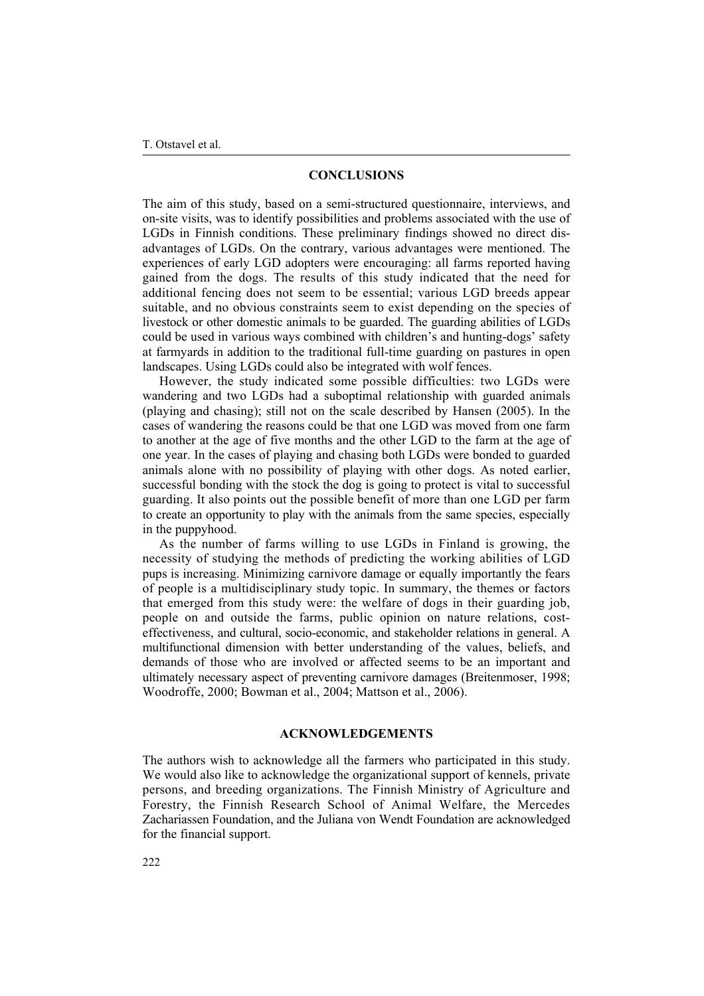# **CONCLUSIONS**

The aim of this study, based on a semi-structured questionnaire, interviews, and on-site visits, was to identify possibilities and problems associated with the use of LGDs in Finnish conditions. These preliminary findings showed no direct disadvantages of LGDs. On the contrary, various advantages were mentioned. The experiences of early LGD adopters were encouraging: all farms reported having gained from the dogs. The results of this study indicated that the need for additional fencing does not seem to be essential; various LGD breeds appear suitable, and no obvious constraints seem to exist depending on the species of livestock or other domestic animals to be guarded. The guarding abilities of LGDs could be used in various ways combined with children's and hunting-dogs' safety at farmyards in addition to the traditional full-time guarding on pastures in open landscapes. Using LGDs could also be integrated with wolf fences.

However, the study indicated some possible difficulties: two LGDs were wandering and two LGDs had a suboptimal relationship with guarded animals (playing and chasing); still not on the scale described by Hansen (2005). In the cases of wandering the reasons could be that one LGD was moved from one farm to another at the age of five months and the other LGD to the farm at the age of one year. In the cases of playing and chasing both LGDs were bonded to guarded animals alone with no possibility of playing with other dogs. As noted earlier, successful bonding with the stock the dog is going to protect is vital to successful guarding. It also points out the possible benefit of more than one LGD per farm to create an opportunity to play with the animals from the same species, especially in the puppyhood.

As the number of farms willing to use LGDs in Finland is growing, the necessity of studying the methods of predicting the working abilities of LGD pups is increasing. Minimizing carnivore damage or equally importantly the fears of people is a multidisciplinary study topic. In summary, the themes or factors that emerged from this study were: the welfare of dogs in their guarding job, people on and outside the farms, public opinion on nature relations, costeffectiveness, and cultural, socio-economic, and stakeholder relations in general. A multifunctional dimension with better understanding of the values, beliefs, and demands of those who are involved or affected seems to be an important and ultimately necessary aspect of preventing carnivore damages (Breitenmoser, 1998; Woodroffe, 2000; Bowman et al., 2004; Mattson et al., 2006).

# **ACKNOWLEDGEMENTS**

The authors wish to acknowledge all the farmers who participated in this study. We would also like to acknowledge the organizational support of kennels, private persons, and breeding organizations. The Finnish Ministry of Agriculture and Forestry, the Finnish Research School of Animal Welfare, the Mercedes Zachariassen Foundation, and the Juliana von Wendt Foundation are acknowledged for the financial support.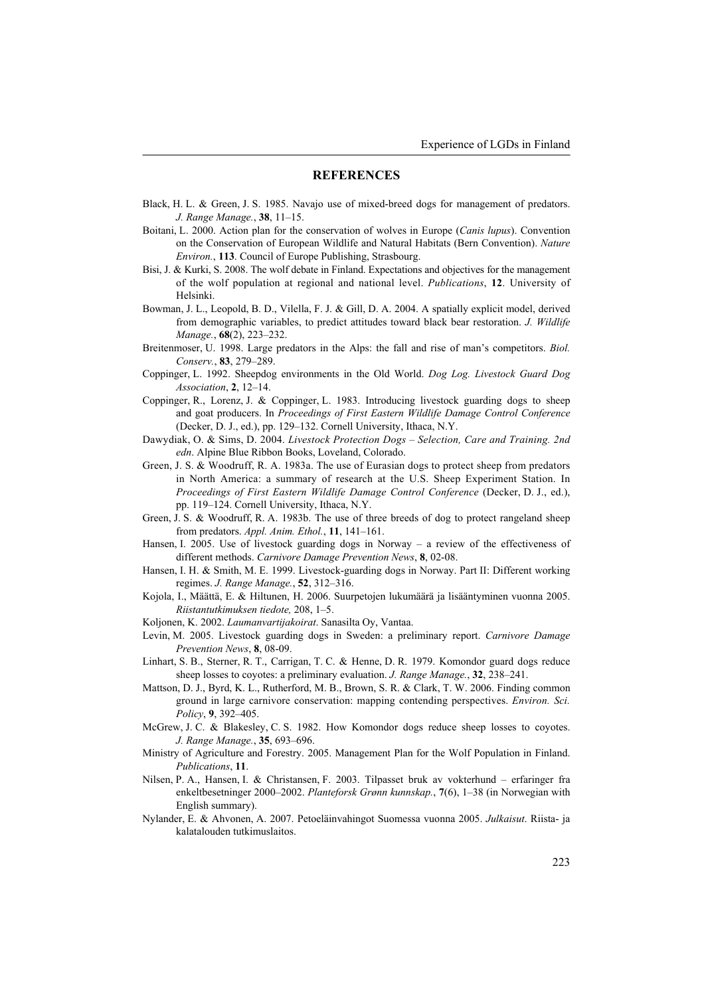#### **REFERENCES**

- Black, H. L. & Green, J. S. 1985. Navajo use of mixed-breed dogs for management of predators. *J. Range Manage.*, 38, 11-15.
- Boitani, L. 2000. Action plan for the conservation of wolves in Europe (*Canis lupus*). Convention on the Conservation of European Wildlife and Natural Habitats (Bern Convention). *Nature Environ.*, **113**. Council of Europe Publishing, Strasbourg.
- Bisi, J. & Kurki, S. 2008. The wolf debate in Finland. Expectations and objectives for the management of the wolf population at regional and national level. *Publications*, **12**. University of Helsinki.
- Bowman, J. L., Leopold, B. D., Vilella, F. J. & Gill, D. A. 2004. A spatially explicit model, derived from demographic variables, to predict attitudes toward black bear restoration. *J. Wildlife Manage.*, 68(2), 223-232.
- Breitenmoser, U. 1998. Large predators in the Alps: the fall and rise of man's competitors. *Biol. Conserv.*, 83, 279-289.
- Coppinger, L. 1992. Sheepdog environments in the Old World. *Dog Log. Livestock Guard Dog Association*, 2, 12-14.
- Coppinger, R., Lorenz, J. & Coppinger, L. 1983. Introducing livestock guarding dogs to sheep and goat producers. In *Proceedings of First Eastern Wildlife Damage Control Conference* (Decker, D. J., ed.), pp. 129–132. Cornell University, Ithaca, N.Y.
- Dawydiak, O. & Sims, D. 2004. *Livestock Protection Dogs Selection, Care and Training. 2nd edn*. Alpine Blue Ribbon Books, Loveland, Colorado.
- Green, J. S. & Woodruff, R. A. 1983a. The use of Eurasian dogs to protect sheep from predators in North America: a summary of research at the U.S. Sheep Experiment Station. In *Proceedings of First Eastern Wildlife Damage Control Conference* (Decker, D. J., ed.), pp. 119–124. Cornell University, Ithaca, N.Y.
- Green, J. S. & Woodruff, R. A. 1983b. The use of three breeds of dog to protect rangeland sheep from predators.  $Appl.$  Anim. Ethol.,  $11$ ,  $141-161$ .
- Hansen, I. 2005. Use of livestock guarding dogs in Norway a review of the effectiveness of different methods. *Carnivore Damage Prevention News*, **8**, 02-08.
- Hansen, I. H. & Smith, M. E. 1999. Livestock-guarding dogs in Norway. Part II: Different working regimes. *J. Range Manage.*, **52**, 312-316.
- Kojola, I., Määttä, E. & Hiltunen, H. 2006. Suurpetojen lukumäärä ja lisääntyminen vuonna 2005. *Riistantutkimuksen tiedote, 208, 1-5.*
- Koljonen, K. 2002. *Laumanvartijakoirat*. Sanasilta Oy, Vantaa.
- Levin, M. 2005. Livestock guarding dogs in Sweden: a preliminary report. *Carnivore Damage Prevention News*, **8**, 08-09.
- Linhart, S. B., Sterner, R. T., Carrigan, T. C. & Henne, D. R. 1979. Komondor guard dogs reduce sheep losses to coyotes: a preliminary evaluation. *J. Range Manage.*, 32, 238–241.
- Mattson, D. J., Byrd, K. L., Rutherford, M. B., Brown, S. R. & Clark, T. W. 2006. Finding common ground in large carnivore conservation: mapping contending perspectives. *Environ. Sci. Policy*, 9, 392-405.
- McGrew, J. C. & Blakesley, C. S. 1982. How Komondor dogs reduce sheep losses to coyotes. *J. Range Manage.*, 35, 693-696.
- Ministry of Agriculture and Forestry. 2005. Management Plan for the Wolf Population in Finland. *Publications*, **11**.
- Nilsen, P. A., Hansen, I. & Christansen, F. 2003. Tilpasset bruk av vokterhund erfaringer fra enkeltbesetninger 2000–2002. *Planteforsk Grønn kunnskap.*, 7(6), 1–38 (in Norwegian with English summary).
- Nylander, E. & Ahvonen, A. 2007. Petoel‰invahingot Suomessa vuonna 2005. *Julkaisut*. Riista- ja kalatalouden tutkimuslaitos.